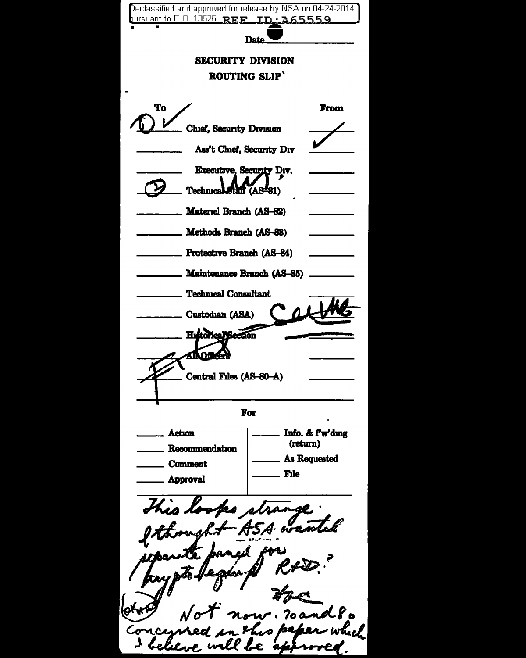